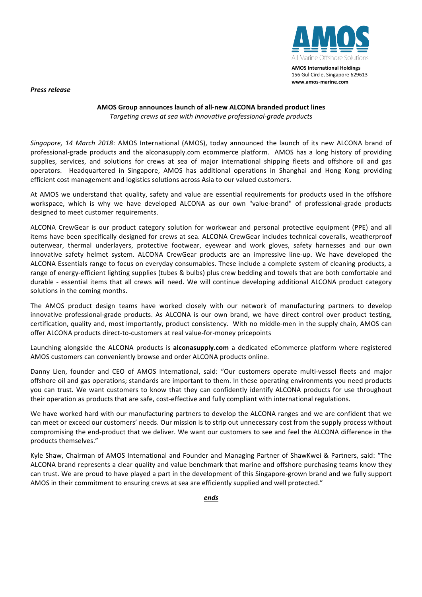**AMOS International Holdings** 156 Gul Circle, Singapore 629613 **www.amos-marine.com**

*Press release*

## **AMOS Group announces launch of all-new ALCONA branded product lines** *Targeting crews at sea with innovative professional-grade products*

Singapore, 14 March 2018: AMOS International (AMOS), today announced the launch of its new ALCONA brand of professional-grade products and the alconasupply.com ecommerce platform. AMOS has a long history of providing supplies, services, and solutions for crews at sea of major international shipping fleets and offshore oil and gas operators. Headquartered in Singapore, AMOS has additional operations in Shanghai and Hong Kong providing efficient cost management and logistics solutions across Asia to our valued customers.

At AMOS we understand that quality, safety and value are essential requirements for products used in the offshore workspace, which is why we have developed ALCONA as our own "value-brand" of professional-grade products designed to meet customer requirements.

ALCONA CrewGear is our product category solution for workwear and personal protective equipment (PPE) and all items have been specifically designed for crews at sea. ALCONA CrewGear includes technical coveralls, weatherproof outerwear, thermal underlayers, protective footwear, eyewear and work gloves, safety harnesses and our own innovative safety helmet system. ALCONA CrewGear products are an impressive line-up. We have developed the ALCONA Essentials range to focus on everyday consumables. These include a complete system of cleaning products, a range of energy-efficient lighting supplies (tubes & bulbs) plus crew bedding and towels that are both comfortable and durable - essential items that all crews will need. We will continue developing additional ALCONA product category solutions in the coming months.

The AMOS product design teams have worked closely with our network of manufacturing partners to develop innovative professional-grade products. As ALCONA is our own brand, we have direct control over product testing, certification, quality and, most importantly, product consistency. With no middle-men in the supply chain, AMOS can offer ALCONA products direct-to-customers at real value-for-money pricepoints

Launching alongside the ALCONA products is **alconasupply.com** a dedicated eCommerce platform where registered AMOS customers can conveniently browse and order ALCONA products online.

Danny Lien, founder and CEO of AMOS International, said: "Our customers operate multi-vessel fleets and major offshore oil and gas operations; standards are important to them. In these operating environments you need products you can trust. We want customers to know that they can confidently identify ALCONA products for use throughout their operation as products that are safe, cost-effective and fully compliant with international regulations.

We have worked hard with our manufacturing partners to develop the ALCONA ranges and we are confident that we can meet or exceed our customers' needs. Our mission is to strip out unnecessary cost from the supply process without compromising the end-product that we deliver. We want our customers to see and feel the ALCONA difference in the products themselves."

Kyle Shaw, Chairman of AMOS International and Founder and Managing Partner of ShawKwei & Partners, said: "The ALCONA brand represents a clear quality and value benchmark that marine and offshore purchasing teams know they can trust. We are proud to have played a part in the development of this Singapore-grown brand and we fully support AMOS in their commitment to ensuring crews at sea are efficiently supplied and well protected."

*ends*